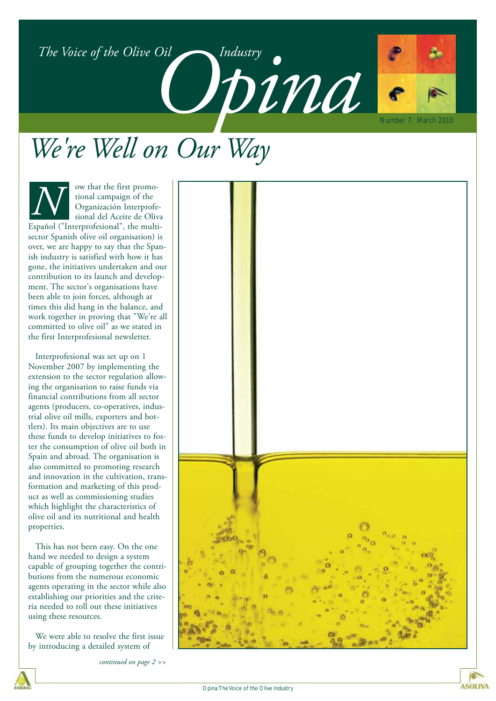*The Voice of the Olive Oil* 



## *We're Well on Our Way*

*N*

ow that the first promotional campaign of the Organización Interprofesional del Aceite de Oliva Español ("Interprofesional", the multi-

sector Spanish olive oil organisation) is over, we are happy to say that the Spanish industry is satisfied with how it has gone, the initiatives undertaken and our contribution to its launch and development. The sector's organisations have been able to join forces, although at times this did hang in the balance, and work together in proving that "We're all committed to olive oil" as we stated in the first Interprofesional newsletter.

Interprofesional was set up on 1 November 2007 by implementing the extension to the sector regulation allowing the organisation to raise funds via financial contributions from all sector agents (producers, co-operatives, industrial olive oil mills, exporters and bottlers). Its main objectives are to use these funds to develop initiatives to foster the consumption of olive oil both in Spain and abroad. The organisation is also committed to promoting research and innovation in the cultivation, transformation and marketing of this product as well as commissioning studies which highlight the characteristics of olive oil and its nutritional and health properties.

This has not been easy. On the one hand we needed to design a system capable of grouping together the contributions from the numerous economic agents operating in the sector while also establishing our priorities and the criteria needed to roll out these initiatives using these resources.

We were able to resolve the first issue by introducing a detailed system of



*continued on page 2 >>*

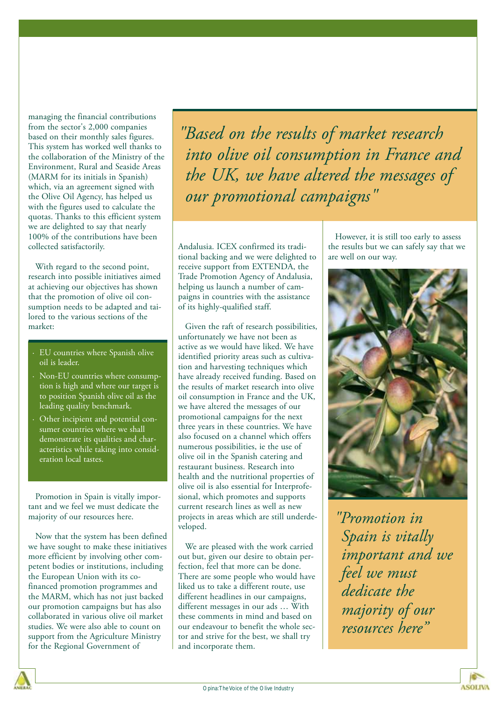managing the financial contributions from the sector's 2,000 companies based on their monthly sales figures. This system has worked well thanks to the collaboration of the Ministry of the Environment, Rural and Seaside Areas (MARM for its initials in Spanish) which, via an agreement signed with the Olive Oil Agency, has helped us with the figures used to calculate the quotas. Thanks to this efficient system we are delighted to say that nearly 100% of the contributions have been collected satisfactorily.

With regard to the second point, research into possible initiatives aimed at achieving our objectives has shown that the promotion of olive oil consumption needs to be adapted and tailored to the various sections of the market:

- · EU countries where Spanish olive oil is leader.
- · Non-EU countries where consumption is high and where our target is to position Spanish olive oil as the leading quality benchmark.
- Other incipient and potential consumer countries where we shall demonstrate its qualities and characteristics while taking into consideration local tastes.

Promotion in Spain is vitally important and we feel we must dedicate the majority of our resources here.

Now that the system has been defined we have sought to make these initiatives more efficient by involving other competent bodies or institutions, including the European Union with its cofinanced promotion programmes and the MARM, which has not just backed our promotion campaigns but has also collaborated in various olive oil market studies. We were also able to count on support from the Agriculture Ministry for the Regional Government of

*"Based on the results of market research into olive oil consumption in France and the UK, we have altered the messages of our promotional campaigns"*

Andalusia. ICEX confirmed its traditional backing and we were delighted to receive support from EXTENDA, the Trade Promotion Agency of Andalusia, helping us launch a number of campaigns in countries with the assistance of its highly-qualified staff.

Given the raft of research possibilities, unfortunately we have not been as active as we would have liked. We have identified priority areas such as cultivation and harvesting techniques which have already received funding. Based on the results of market research into olive oil consumption in France and the UK, we have altered the messages of our promotional campaigns for the next three years in these countries. We have also focused on a channel which offers numerous possibilities, ie the use of olive oil in the Spanish catering and restaurant business. Research into health and the nutritional properties of olive oil is also essential for Interprofesional, which promotes and supports current research lines as well as new projects in areas which are still underdeveloped.

We are pleased with the work carried out but, given our desire to obtain perfection, feel that more can be done. There are some people who would have liked us to take a different route, use different headlines in our campaigns, different messages in our ads … With these comments in mind and based on our endeavour to benefit the whole sector and strive for the best, we shall try and incorporate them.

However, it is still too early to assess the results but we can safely say that we are well on our way.



*"Promotion in Spain is vitally important and we feel we must dedicate the majority of our resources here"*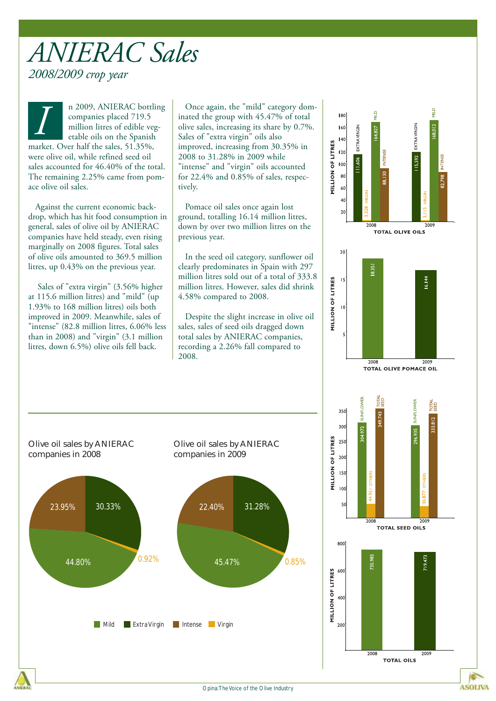### *ANIERAC Sales 2008/2009 crop year*

n 2009, ANIERAC bottling companies placed 719.5 million litres of edible vegetable oils on the Spanish market. Over half the sales, 51.35%, were olive oil, while refined seed oil sales accounted for 46.40% of the total. The remaining 2.25% came from pomace olive oil sales.

Against the current economic backdrop, which has hit food consumption in general, sales of olive oil by ANIERAC companies have held steady, even rising marginally on 2008 figures. Total sales of olive oils amounted to 369.5 million litres, up 0.43% on the previous year.

Sales of "extra virgin" (3.56% higher at 115.6 million litres) and "mild" (up 1.93% to 168 million litres) oils both improved in 2009. Meanwhile, sales of "intense" (82.8 million litres, 6.06% less than in 2008) and "virgin" (3.1 million litres, down 6.5%) olive oils fell back.

**I** a 2009, ANIERAC bottling Once again, the "mild" category dom-<br>
companies placed 719.5 million litres of edible veg-<br>
etable oils on the Spanish Sales of "extra virgin" oils also inated the group with 45.47% of total olive sales, increasing its share by 0.7%. Sales of "extra virgin" oils also improved, increasing from 30.35% in 2008 to 31.28% in 2009 while "intense" and "virgin" oils accounted for 22.4% and 0.85% of sales, respectively.

> Pomace oil sales once again lost ground, totalling 16.14 million litres, down by over two million litres on the previous year.

In the seed oil category, sunflower oil clearly predominates in Spain with 297 million litres sold out of a total of 333.8 million litres. However, sales did shrink 4.58% compared to 2008.

Despite the slight increase in olive oil sales, sales of seed oils dragged down total sales by ANIERAC companies, recording a 2.26% fall compared to 2008.



**Mild Extra Virgin Intense Virgin** 23.95% 30.33% 44.80% 0.92% 22.40% 31.28% 45.47% 0.85% **Olive oil sales by ANIERAC companies in 2008 Olive oil sales by ANIERAC companies in 2009**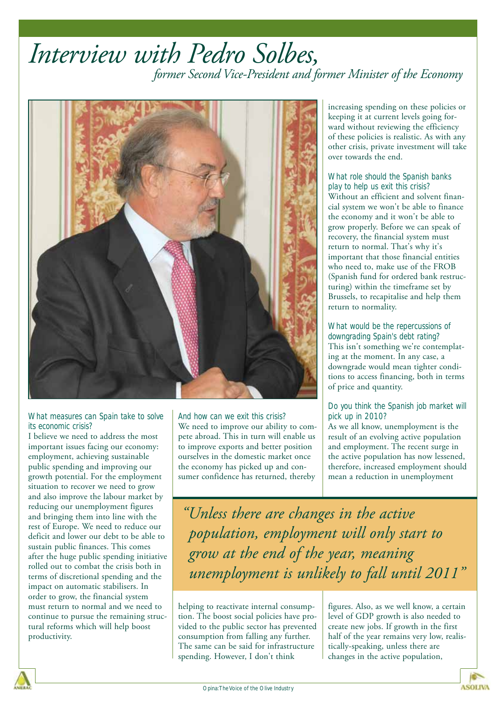### *Interview with Pedro Solbes, former Second Vice-President and former Minister of the Economy*



#### *What measures can Spain take to solve its economic crisis?*

I believe we need to address the most important issues facing our economy: employment, achieving sustainable public spending and improving our growth potential. For the employment situation to recover we need to grow and also improve the labour market by reducing our unemployment figures and bringing them into line with the rest of Europe. We need to reduce our deficit and lower our debt to be able to sustain public finances. This comes after the huge public spending initiative rolled out to combat the crisis both in terms of discretional spending and the impact on automatic stabilisers. In order to grow, the financial system must return to normal and we need to continue to pursue the remaining structural reforms which will help boost productivity.

*And how can we exit this crisis?* We need to improve our ability to compete abroad. This in turn will enable us to improve exports and better position ourselves in the domestic market once the economy has picked up and consumer confidence has returned, thereby

increasing spending on these policies or keeping it at current levels going forward without reviewing the efficiency of these policies is realistic. As with any other crisis, private investment will take over towards the end.

#### *What role should the Spanish banks play to help us exit this crisis?*

Without an efficient and solvent financial system we won't be able to finance the economy and it won't be able to grow properly. Before we can speak of recovery, the financial system must return to normal. That's why it's important that those financial entities who need to, make use of the FROB (Spanish fund for ordered bank restructuring) within the timeframe set by Brussels, to recapitalise and help them return to normality.

#### *What would be the repercussions of downgrading Spain's debt rating?*

This isn't something we're contemplating at the moment. In any case, a downgrade would mean tighter conditions to access financing, both in terms of price and quantity.

#### *Do you think the Spanish job market will pick up in 2010?*

As we all know, unemployment is the result of an evolving active population and employment. The recent surge in the active population has now lessened, therefore, increased employment should mean a reduction in unemployment

*"Unless there are changes in the active population, employment will only start to grow at the end of the year, meaning unemployment is unlikely to fall until 2011"*

helping to reactivate internal consumption. The boost social policies have provided to the public sector has prevented consumption from falling any further. The same can be said for infrastructure spending. However, I don't think

figures. Also, as we well know, a certain level of GDP growth is also needed to create new jobs. If growth in the first half of the year remains very low, realistically-speaking, unless there are changes in the active population,

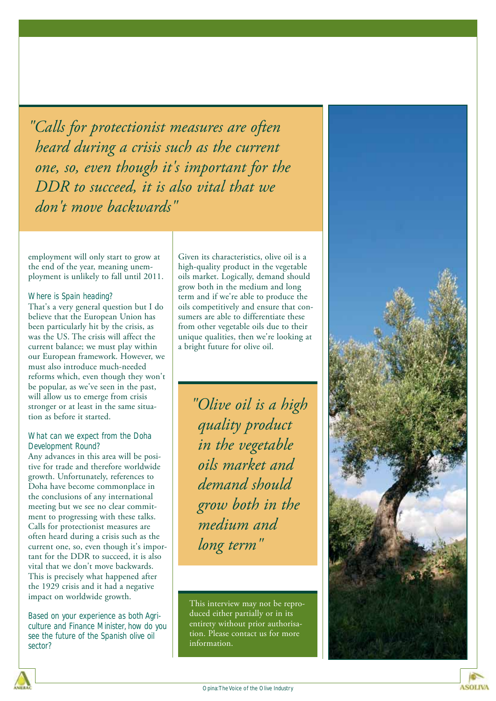*"Calls for protectionist measures are often heard during a crisis such as the current one, so, even though it's important for the DDR to succeed, it is also vital that we don't move backwards"*

employment will only start to grow at the end of the year, meaning unemployment is unlikely to fall until 2011.

#### *Where is Spain heading?*

That's a very general question but I do believe that the European Union has been particularly hit by the crisis, as was the US. The crisis will affect the current balance; we must play within our European framework. However, we must also introduce much-needed reforms which, even though they won't be popular, as we've seen in the past, will allow us to emerge from crisis stronger or at least in the same situation as before it started.

#### *What can we expect from the Doha Development Round?*

Any advances in this area will be positive for trade and therefore worldwide growth. Unfortunately, references to Doha have become commonplace in the conclusions of any international meeting but we see no clear commitment to progressing with these talks. Calls for protectionist measures are often heard during a crisis such as the current one, so, even though it's important for the DDR to succeed, it is also vital that we don't move backwards. This is precisely what happened after the 1929 crisis and it had a negative impact on worldwide growth.

*Based on your experience as both Agriculture and Finance Minister, how do you see the future of the Spanish olive oil sector?*

Given its characteristics, olive oil is a high-quality product in the vegetable oils market. Logically, demand should grow both in the medium and long term and if we're able to produce the oils competitively and ensure that consumers are able to differentiate these from other vegetable oils due to their unique qualities, then we're looking at a bright future for olive oil.

> *"Olive oil is a high quality product in the vegetable oils market and demand should grow both in the medium and long term"*

This interview may not be reproduced either partially or in its entirety without prior authorisation. Please contact us for more information.

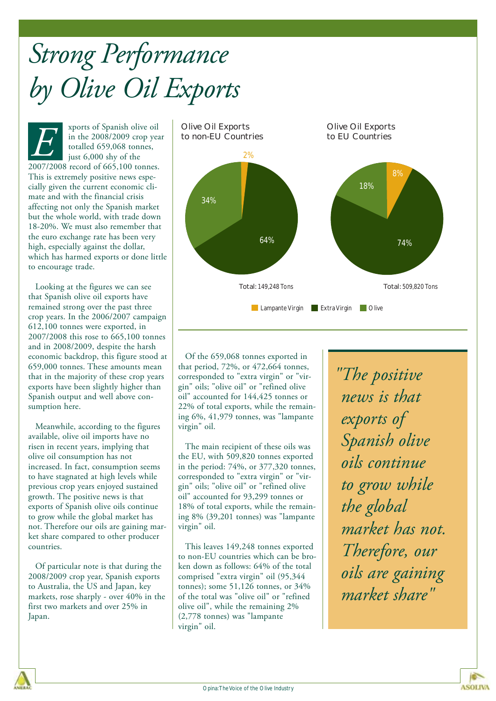# *Strong Performance by Olive Oil Exports*

xports of Spanish olive oil in the 2008/2009 crop year totalled 659,068 tonnes, just 6,000 shy of the Exports of Spanish olive oil<br>
in the 2008/2009 crop yea<br>
totalled 659,068 tonnes,<br>
just 6,000 shy of the<br>
2007/2008 record of 665,100 tonnes. This is extremely positive news especially given the current economic climate and with the financial crisis affecting not only the Spanish market but the whole world, with trade down 18-20%. We must also remember that the euro exchange rate has been very high, especially against the dollar, which has harmed exports or done little to encourage trade.

Looking at the figures we can see that Spanish olive oil exports have remained strong over the past three crop years. In the 2006/2007 campaign 612,100 tonnes were exported, in 2007/2008 this rose to 665,100 tonnes and in 2008/2009, despite the harsh economic backdrop, this figure stood at 659,000 tonnes. These amounts mean that in the majority of these crop years exports have been slightly higher than Spanish output and well above consumption here.

Meanwhile, according to the figures available, olive oil imports have no risen in recent years, implying that olive oil consumption has not increased. In fact, consumption seems to have stagnated at high levels while previous crop years enjoyed sustained growth. The positive news is that exports of Spanish olive oils continue to grow while the global market has not. Therefore our oils are gaining market share compared to other producer countries.

Of particular note is that during the 2008/2009 crop year, Spanish exports to Australia, the US and Japan, key markets, rose sharply - over 40% in the first two markets and over 25% in Japan.



Of the 659,068 tonnes exported in that period, 72%, or 472,664 tonnes, corresponded to "extra virgin" or "virgin" oils; "olive oil" or "refined olive oil" accounted for 144,425 tonnes or 22% of total exports, while the remaining 6%, 41,979 tonnes, was "lampante virgin" oil.

The main recipient of these oils was the EU, with 509,820 tonnes exported in the period: 74%, or 377,320 tonnes, corresponded to "extra virgin" or "virgin" oils; "olive oil" or "refined olive oil" accounted for 93,299 tonnes or 18% of total exports, while the remaining 8% (39,201 tonnes) was "lampante virgin" oil.

This leaves 149,248 tonnes exported to non-EU countries which can be broken down as follows: 64% of the total comprised "extra virgin" oil (95,344 tonnes); some 51,126 tonnes, or 34% of the total was "olive oil" or "refined olive oil", while the remaining 2% (2,778 tonnes) was "lampante virgin" oil.

*"The positive news is that exports of Spanish olive oils continue to grow while the global market has not. Therefore, our oils are gaining market share"*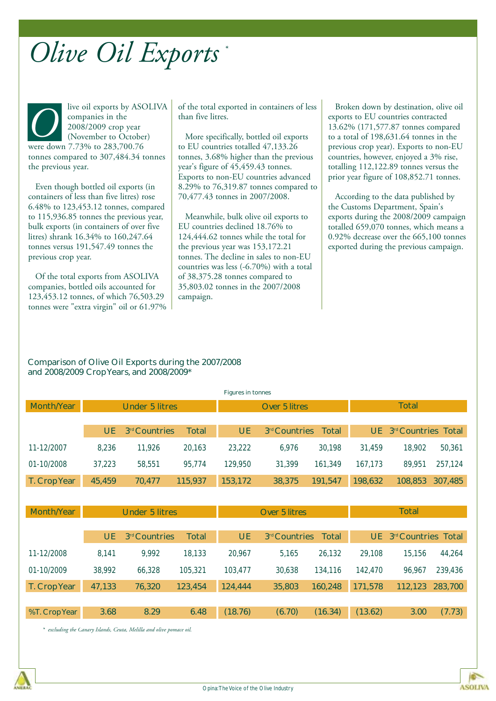# *\* Olive Oil Exports*

live oil exports by ASOLIVA companies in the 2008/2009 crop year (November to October) were down 7.73% to 283,700.76 *O* tonnes compared to 307,484.34 tonnes the previous year.

Even though bottled oil exports (in containers of less than five litres) rose 6.48% to 123,453.12 tonnes, compared to 115,936.85 tonnes the previous year, bulk exports (in containers of over five litres) shrank 16.34% to 160,247.64 tonnes versus 191,547.49 tonnes the previous crop year.

Of the total exports from ASOLIVA companies, bottled oils accounted for 123,453.12 tonnes, of which 76,503.29 tonnes were "extra virgin" oil or 61.97% of the total exported in containers of less than five litres.

More specifically, bottled oil exports to EU countries totalled 47,133.26 tonnes, 3.68% higher than the previous year's figure of 45,459.43 tonnes. Exports to non-EU countries advanced 8.29% to 76,319.87 tonnes compared to 70,477.43 tonnes in 2007/2008.

Meanwhile, bulk olive oil exports to EU countries declined 18.76% to 124,444.62 tonnes while the total for the previous year was 153,172.21 tonnes. The decline in sales to non-EU countries was less (-6.70%) with a total of 38,375.28 tonnes compared to 35,803.02 tonnes in the 2007/2008 campaign.

Broken down by destination, olive oil exports to EU countries contracted 13.62% (171,577.87 tonnes compared to a total of 198,631.64 tonnes in the previous crop year). Exports to non-EU countries, however, enjoyed a 3% rise, totalling 112,122.89 tonnes versus the prior year figure of 108,852.71 tonnes.

According to the data published by the Customs Department, Spain's exports during the 2008/2009 campaign totalled 659,070 tonnes, which means a 0.92% decrease over the 665,100 tonnes exported during the previous campaign.

#### **Comparison of Olive Oil Exports during the 2007/2008 and 2008/2009 Crop Years, and 2008/2009\***

| <b>Figures in tonnes</b> |                                            |                       |              |                               |                      |                        |              |                     |         |
|--------------------------|--------------------------------------------|-----------------------|--------------|-------------------------------|----------------------|------------------------|--------------|---------------------|---------|
| <b>Month/Year</b>        | <b>Under 5 litres</b>                      |                       |              | <b>Over 5 litres</b>          |                      |                        | <b>Total</b> |                     |         |
|                          |                                            |                       |              |                               |                      |                        |              |                     |         |
|                          | 3rd Countries<br><b>Total</b><br><b>UE</b> |                       | <b>UE</b>    | 3rd Countries<br><b>Total</b> |                      | UE 3rd Countries Total |              |                     |         |
| 11-12/2007               | 8,236                                      | 11,926                | 20,163       | 23,222                        | 6,976                | 30,198                 | 31,459       | 18,902              | 50,361  |
| 01-10/2008               | 37,223                                     | 58,551                | 95,774       | 129,950                       | 31,399               | 161,349                | 167,173      | 89,951              | 257,124 |
| T. Crop Year             | 45,459                                     | 70,477                | 115,937      | 153,172                       | 38,375               | 191,547                | 198,632      | 108,853             | 307,485 |
|                          |                                            |                       |              |                               |                      |                        |              |                     |         |
|                          |                                            |                       |              |                               |                      |                        |              |                     |         |
| <b>Month/Year</b>        |                                            | <b>Under 5 litres</b> |              |                               | <b>Over 5 litres</b> |                        |              | <b>Total</b>        |         |
|                          |                                            |                       |              |                               |                      |                        |              |                     |         |
|                          | <b>UE</b>                                  | 3rd Countries         | <b>Total</b> | <b>UE</b>                     | 3rd Countries        | <b>Total</b>           | UE.          | 3rd Countries Total |         |
| 11-12/2008               | 8,141                                      | 9,992                 | 18,133       | 20,967                        | 5,165                | 26,132                 | 29,108       | 15,156              | 44,264  |
| 01-10/2009               | 38,992                                     | 66,328                | 105,321      | 103,477                       | 30,638               | 134,116                | 142,470      | 96,967              | 239,436 |
| <b>T. Crop Year</b>      | 47,133                                     | 76,320                | 123,454      | 124,444                       | 35,803               | 160,248                | 171,578      | 112,123             | 283,700 |
|                          |                                            |                       |              |                               |                      |                        |              |                     |         |

*\* excluding the Canary Islands, Ceuta, Melilla and olive pomace oil.*